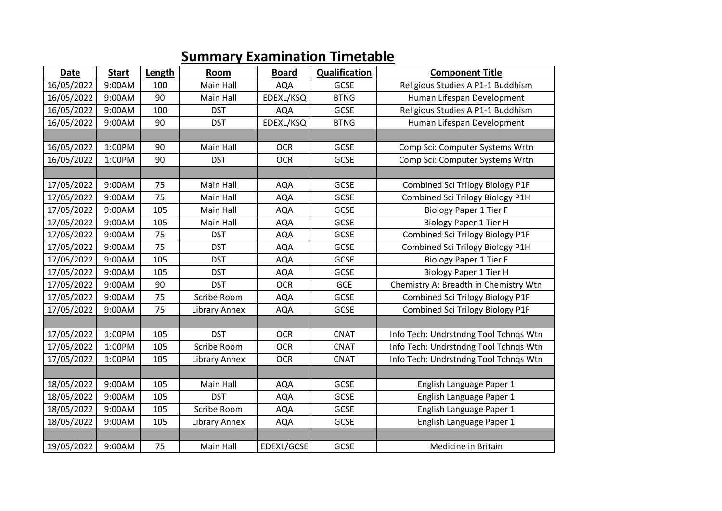## **Summary Examination Timetable**

| <b>Date</b> | <b>Start</b> | Length | Room                 | <b>Board</b> | <b>Qualification</b> | <b>Component Title</b>                  |
|-------------|--------------|--------|----------------------|--------------|----------------------|-----------------------------------------|
| 16/05/2022  | 9:00AM       | 100    | Main Hall            | <b>AQA</b>   | <b>GCSE</b>          | Religious Studies A P1-1 Buddhism       |
| 16/05/2022  | 9:00AM       | 90     | Main Hall            | EDEXL/KSQ    | <b>BTNG</b>          | Human Lifespan Development              |
| 16/05/2022  | 9:00AM       | 100    | <b>DST</b>           | <b>AQA</b>   | GCSE                 | Religious Studies A P1-1 Buddhism       |
| 16/05/2022  | 9:00AM       | 90     | <b>DST</b>           | EDEXL/KSQ    | <b>BTNG</b>          | Human Lifespan Development              |
|             |              |        |                      |              |                      |                                         |
| 16/05/2022  | 1:00PM       | 90     | Main Hall            | <b>OCR</b>   | GCSE                 | Comp Sci: Computer Systems Wrtn         |
| 16/05/2022  | 1:00PM       | 90     | <b>DST</b>           | <b>OCR</b>   | <b>GCSE</b>          | Comp Sci: Computer Systems Wrtn         |
|             |              |        |                      |              |                      |                                         |
| 17/05/2022  | 9:00AM       | 75     | Main Hall            | <b>AQA</b>   | GCSE                 | Combined Sci Trilogy Biology P1F        |
| 17/05/2022  | 9:00AM       | 75     | Main Hall            | <b>AQA</b>   | GCSE                 | Combined Sci Trilogy Biology P1H        |
| 17/05/2022  | 9:00AM       | 105    | Main Hall            | <b>AQA</b>   | GCSE                 | <b>Biology Paper 1 Tier F</b>           |
| 17/05/2022  | 9:00AM       | 105    | <b>Main Hall</b>     | <b>AQA</b>   | <b>GCSE</b>          | <b>Biology Paper 1 Tier H</b>           |
| 17/05/2022  | 9:00AM       | 75     | <b>DST</b>           | <b>AQA</b>   | GCSE                 | <b>Combined Sci Trilogy Biology P1F</b> |
| 17/05/2022  | 9:00AM       | 75     | <b>DST</b>           | <b>AQA</b>   | GCSE                 | Combined Sci Trilogy Biology P1H        |
| 17/05/2022  | 9:00AM       | 105    | <b>DST</b>           | <b>AQA</b>   | <b>GCSE</b>          | <b>Biology Paper 1 Tier F</b>           |
| 17/05/2022  | 9:00AM       | 105    | <b>DST</b>           | <b>AQA</b>   | <b>GCSE</b>          | <b>Biology Paper 1 Tier H</b>           |
| 17/05/2022  | 9:00AM       | 90     | <b>DST</b>           | <b>OCR</b>   | <b>GCE</b>           | Chemistry A: Breadth in Chemistry Wtn   |
| 17/05/2022  | 9:00AM       | 75     | Scribe Room          | <b>AQA</b>   | <b>GCSE</b>          | Combined Sci Trilogy Biology P1F        |
| 17/05/2022  | 9:00AM       | 75     | <b>Library Annex</b> | <b>AQA</b>   | GCSE                 | Combined Sci Trilogy Biology P1F        |
|             |              |        |                      |              |                      |                                         |
| 17/05/2022  | 1:00PM       | 105    | <b>DST</b>           | <b>OCR</b>   | <b>CNAT</b>          | Info Tech: Undrstndng Tool Tchnqs Wtn   |
| 17/05/2022  | 1:00PM       | 105    | Scribe Room          | <b>OCR</b>   | <b>CNAT</b>          | Info Tech: Undrstndng Tool Tchnqs Wtn   |
| 17/05/2022  | 1:00PM       | 105    | <b>Library Annex</b> | <b>OCR</b>   | <b>CNAT</b>          | Info Tech: Undrstndng Tool Tchnqs Wtn   |
|             |              |        |                      |              |                      |                                         |
| 18/05/2022  | 9:00AM       | 105    | Main Hall            | <b>AQA</b>   | <b>GCSE</b>          | English Language Paper 1                |
| 18/05/2022  | 9:00AM       | 105    | <b>DST</b>           | <b>AQA</b>   | GCSE                 | English Language Paper 1                |
| 18/05/2022  | 9:00AM       | 105    | Scribe Room          | <b>AQA</b>   | <b>GCSE</b>          | English Language Paper 1                |
| 18/05/2022  | 9:00AM       | 105    | <b>Library Annex</b> | <b>AQA</b>   | GCSE                 | English Language Paper 1                |
|             |              |        |                      |              |                      |                                         |
| 19/05/2022  | 9:00AM       | 75     | Main Hall            | EDEXL/GCSE   | GCSE                 | Medicine in Britain                     |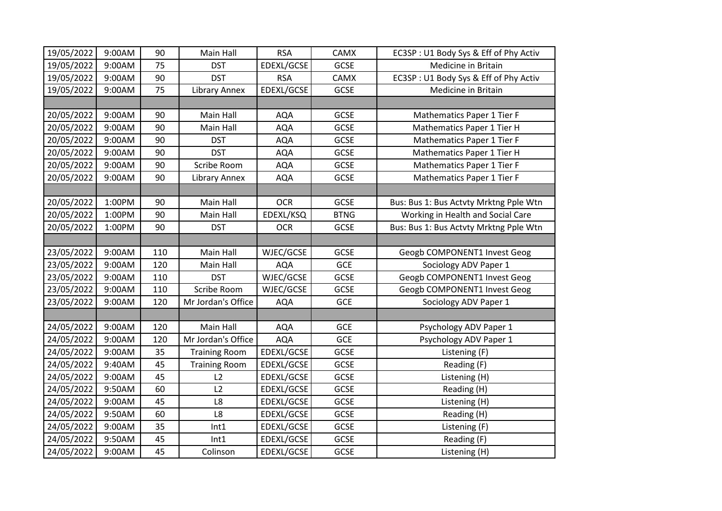| 19/05/2022 | 9:00AM | 90  | Main Hall            | <b>RSA</b> | CAMX        | EC3SP: U1 Body Sys & Eff of Phy Activ  |
|------------|--------|-----|----------------------|------------|-------------|----------------------------------------|
| 19/05/2022 | 9:00AM | 75  | <b>DST</b>           | EDEXL/GCSE | GCSE        | Medicine in Britain                    |
| 19/05/2022 | 9:00AM | 90  | <b>DST</b>           | <b>RSA</b> | CAMX        | EC3SP: U1 Body Sys & Eff of Phy Activ  |
| 19/05/2022 | 9:00AM | 75  | Library Annex        | EDEXL/GCSE | GCSE        | Medicine in Britain                    |
|            |        |     |                      |            |             |                                        |
| 20/05/2022 | 9:00AM | 90  | Main Hall            | <b>AQA</b> | <b>GCSE</b> | Mathematics Paper 1 Tier F             |
| 20/05/2022 | 9:00AM | 90  | Main Hall            | <b>AQA</b> | GCSE        | Mathematics Paper 1 Tier H             |
| 20/05/2022 | 9:00AM | 90  | <b>DST</b>           | <b>AQA</b> | GCSE        | Mathematics Paper 1 Tier F             |
| 20/05/2022 | 9:00AM | 90  | <b>DST</b>           | <b>AQA</b> | GCSE        | Mathematics Paper 1 Tier H             |
| 20/05/2022 | 9:00AM | 90  | Scribe Room          | <b>AQA</b> | GCSE        | Mathematics Paper 1 Tier F             |
| 20/05/2022 | 9:00AM | 90  | Library Annex        | <b>AQA</b> | <b>GCSE</b> | Mathematics Paper 1 Tier F             |
|            |        |     |                      |            |             |                                        |
| 20/05/2022 | 1:00PM | 90  | Main Hall            | <b>OCR</b> | GCSE        | Bus: Bus 1: Bus Actvty Mrktng Pple Wtn |
| 20/05/2022 | 1:00PM | 90  | Main Hall            | EDEXL/KSQ  | <b>BTNG</b> | Working in Health and Social Care      |
| 20/05/2022 | 1:00PM | 90  | <b>DST</b>           | <b>OCR</b> | GCSE        | Bus: Bus 1: Bus Actvty Mrktng Pple Wtn |
|            |        |     |                      |            |             |                                        |
| 23/05/2022 | 9:00AM | 110 | Main Hall            | WJEC/GCSE  | GCSE        | Geogb COMPONENT1 Invest Geog           |
| 23/05/2022 | 9:00AM | 120 | Main Hall            | <b>AQA</b> | <b>GCE</b>  | Sociology ADV Paper 1                  |
| 23/05/2022 | 9:00AM | 110 | <b>DST</b>           | WJEC/GCSE  | GCSE        | Geogb COMPONENT1 Invest Geog           |
| 23/05/2022 | 9:00AM | 110 | Scribe Room          | WJEC/GCSE  | GCSE        | Geogb COMPONENT1 Invest Geog           |
| 23/05/2022 | 9:00AM | 120 | Mr Jordan's Office   | <b>AQA</b> | GCE         | Sociology ADV Paper 1                  |
|            |        |     |                      |            |             |                                        |
| 24/05/2022 | 9:00AM | 120 | Main Hall            | <b>AQA</b> | <b>GCE</b>  | Psychology ADV Paper 1                 |
| 24/05/2022 | 9:00AM | 120 | Mr Jordan's Office   | <b>AQA</b> | GCE         | Psychology ADV Paper 1                 |
| 24/05/2022 | 9:00AM | 35  | <b>Training Room</b> | EDEXL/GCSE | GCSE        | Listening (F)                          |
| 24/05/2022 | 9:40AM | 45  | <b>Training Room</b> | EDEXL/GCSE | GCSE        | Reading (F)                            |
| 24/05/2022 | 9:00AM | 45  | L2                   | EDEXL/GCSE | GCSE        | Listening (H)                          |
| 24/05/2022 | 9:50AM | 60  | L2                   | EDEXL/GCSE | GCSE        | Reading (H)                            |
| 24/05/2022 | 9:00AM | 45  | L8                   | EDEXL/GCSE | GCSE        | Listening (H)                          |
| 24/05/2022 | 9:50AM | 60  | L8                   | EDEXL/GCSE | GCSE        | Reading (H)                            |
| 24/05/2022 | 9:00AM | 35  | Int1                 | EDEXL/GCSE | GCSE        | Listening (F)                          |
| 24/05/2022 | 9:50AM | 45  | Int1                 | EDEXL/GCSE | GCSE        | Reading (F)                            |
| 24/05/2022 | 9:00AM | 45  | Colinson             | EDEXL/GCSE | GCSE        | Listening (H)                          |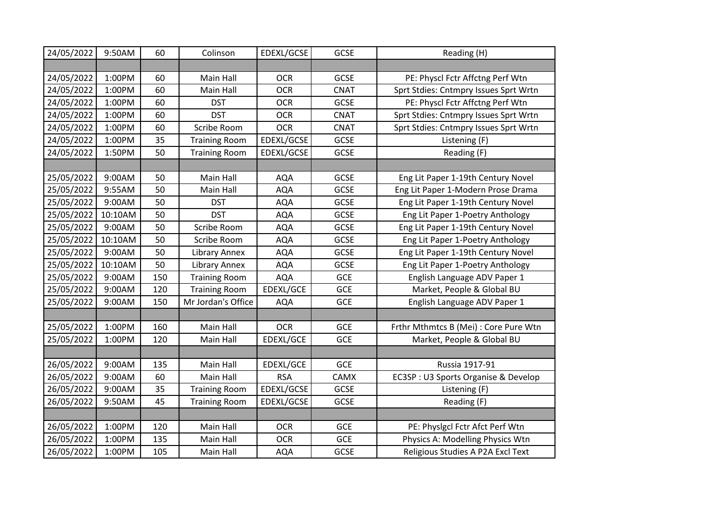| 24/05/2022 | 9:50AM  | 60  | Colinson             | EDEXL/GCSE | GCSE        | Reading (H)                           |
|------------|---------|-----|----------------------|------------|-------------|---------------------------------------|
|            |         |     |                      |            |             |                                       |
| 24/05/2022 | 1:00PM  | 60  | Main Hall            | <b>OCR</b> | GCSE        | PE: Physcl Fctr Affctng Perf Wtn      |
| 24/05/2022 | 1:00PM  | 60  | Main Hall            | <b>OCR</b> | <b>CNAT</b> | Sprt Stdies: Cntmpry Issues Sprt Wrtn |
| 24/05/2022 | 1:00PM  | 60  | <b>DST</b>           | <b>OCR</b> | GCSE        | PE: Physcl Fctr Affctng Perf Wtn      |
| 24/05/2022 | 1:00PM  | 60  | <b>DST</b>           | <b>OCR</b> | CNAT        | Sprt Stdies: Cntmpry Issues Sprt Wrtn |
| 24/05/2022 | 1:00PM  | 60  | Scribe Room          | <b>OCR</b> | <b>CNAT</b> | Sprt Stdies: Cntmpry Issues Sprt Wrtn |
| 24/05/2022 | 1:00PM  | 35  | <b>Training Room</b> | EDEXL/GCSE | GCSE        | Listening (F)                         |
| 24/05/2022 | 1:50PM  | 50  | <b>Training Room</b> | EDEXL/GCSE | GCSE        | Reading (F)                           |
|            |         |     |                      |            |             |                                       |
| 25/05/2022 | 9:00AM  | 50  | Main Hall            | <b>AQA</b> | GCSE        | Eng Lit Paper 1-19th Century Novel    |
| 25/05/2022 | 9:55AM  | 50  | Main Hall            | <b>AQA</b> | GCSE        | Eng Lit Paper 1-Modern Prose Drama    |
| 25/05/2022 | 9:00AM  | 50  | <b>DST</b>           | <b>AQA</b> | GCSE        | Eng Lit Paper 1-19th Century Novel    |
| 25/05/2022 | 10:10AM | 50  | <b>DST</b>           | <b>AQA</b> | GCSE        | Eng Lit Paper 1-Poetry Anthology      |
| 25/05/2022 | 9:00AM  | 50  | Scribe Room          | <b>AQA</b> | GCSE        | Eng Lit Paper 1-19th Century Novel    |
| 25/05/2022 | 10:10AM | 50  | Scribe Room          | <b>AQA</b> | GCSE        | Eng Lit Paper 1-Poetry Anthology      |
| 25/05/2022 | 9:00AM  | 50  | Library Annex        | <b>AQA</b> | <b>GCSE</b> | Eng Lit Paper 1-19th Century Novel    |
| 25/05/2022 | 10:10AM | 50  | Library Annex        | <b>AQA</b> | <b>GCSE</b> | Eng Lit Paper 1-Poetry Anthology      |
| 25/05/2022 | 9:00AM  | 150 | <b>Training Room</b> | <b>AQA</b> | <b>GCE</b>  | English Language ADV Paper 1          |
| 25/05/2022 | 9:00AM  | 120 | <b>Training Room</b> | EDEXL/GCE  | GCE         | Market, People & Global BU            |
| 25/05/2022 | 9:00AM  | 150 | Mr Jordan's Office   | <b>AQA</b> | <b>GCE</b>  | English Language ADV Paper 1          |
|            |         |     |                      |            |             |                                       |
| 25/05/2022 | 1:00PM  | 160 | Main Hall            | <b>OCR</b> | <b>GCE</b>  | Frthr Mthmtcs B (Mei) : Core Pure Wtn |
| 25/05/2022 | 1:00PM  | 120 | Main Hall            | EDEXL/GCE  | GCE         | Market, People & Global BU            |
|            |         |     |                      |            |             |                                       |
| 26/05/2022 | 9:00AM  | 135 | Main Hall            | EDEXL/GCE  | <b>GCE</b>  | Russia 1917-91                        |
| 26/05/2022 | 9:00AM  | 60  | Main Hall            | <b>RSA</b> | CAMX        | EC3SP: U3 Sports Organise & Develop   |
| 26/05/2022 | 9:00AM  | 35  | <b>Training Room</b> | EDEXL/GCSE | GCSE        | Listening (F)                         |
| 26/05/2022 | 9:50AM  | 45  | <b>Training Room</b> | EDEXL/GCSE | GCSE        | Reading (F)                           |
|            |         |     |                      |            |             |                                       |
| 26/05/2022 | 1:00PM  | 120 | Main Hall            | <b>OCR</b> | <b>GCE</b>  | PE: Physigcl Fctr Afct Perf Wtn       |
| 26/05/2022 | 1:00PM  | 135 | Main Hall            | <b>OCR</b> | GCE         | Physics A: Modelling Physics Wtn      |
| 26/05/2022 | 1:00PM  | 105 | Main Hall            | <b>AQA</b> | GCSE        | Religious Studies A P2A Excl Text     |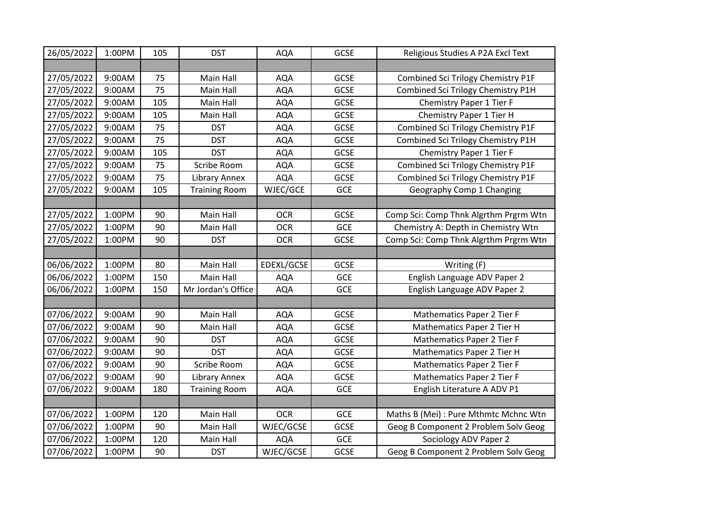| 26/05/2022 | 1:00PM | 105 | <b>DST</b>           | <b>AQA</b> | GCSE        | Religious Studies A P2A Excl Text     |
|------------|--------|-----|----------------------|------------|-------------|---------------------------------------|
|            |        |     |                      |            |             |                                       |
| 27/05/2022 | 9:00AM | 75  | Main Hall            | <b>AQA</b> | GCSE        | Combined Sci Trilogy Chemistry P1F    |
| 27/05/2022 | 9:00AM | 75  | Main Hall            | <b>AQA</b> | GCSE        | Combined Sci Trilogy Chemistry P1H    |
| 27/05/2022 | 9:00AM | 105 | Main Hall            | <b>AQA</b> | GCSE        | Chemistry Paper 1 Tier F              |
| 27/05/2022 | 9:00AM | 105 | Main Hall            | <b>AQA</b> | GCSE        | Chemistry Paper 1 Tier H              |
| 27/05/2022 | 9:00AM | 75  | <b>DST</b>           | <b>AQA</b> | GCSE        | Combined Sci Trilogy Chemistry P1F    |
| 27/05/2022 | 9:00AM | 75  | <b>DST</b>           | <b>AQA</b> | <b>GCSE</b> | Combined Sci Trilogy Chemistry P1H    |
| 27/05/2022 | 9:00AM | 105 | <b>DST</b>           | <b>AQA</b> | GCSE        | Chemistry Paper 1 Tier F              |
| 27/05/2022 | 9:00AM | 75  | Scribe Room          | <b>AQA</b> | <b>GCSE</b> | Combined Sci Trilogy Chemistry P1F    |
| 27/05/2022 | 9:00AM | 75  | <b>Library Annex</b> | <b>AQA</b> | GCSE        | Combined Sci Trilogy Chemistry P1F    |
| 27/05/2022 | 9:00AM | 105 | <b>Training Room</b> | WJEC/GCE   | <b>GCE</b>  | Geography Comp 1 Changing             |
|            |        |     |                      |            |             |                                       |
| 27/05/2022 | 1:00PM | 90  | Main Hall            | <b>OCR</b> | GCSE        | Comp Sci: Comp Thnk Algrthm Prgrm Wtn |
| 27/05/2022 | 1:00PM | 90  | Main Hall            | <b>OCR</b> | GCE         | Chemistry A: Depth in Chemistry Wtn   |
| 27/05/2022 | 1:00PM | 90  | <b>DST</b>           | <b>OCR</b> | GCSE        | Comp Sci: Comp Thnk Algrthm Prgrm Wtn |
|            |        |     |                      |            |             |                                       |
| 06/06/2022 | 1:00PM | 80  | Main Hall            | EDEXL/GCSE | GCSE        | Writing (F)                           |
| 06/06/2022 | 1:00PM | 150 | Main Hall            | <b>AQA</b> | GCE         | English Language ADV Paper 2          |
| 06/06/2022 | 1:00PM | 150 | Mr Jordan's Office   | <b>AQA</b> | GCE         | English Language ADV Paper 2          |
|            |        |     |                      |            |             |                                       |
| 07/06/2022 | 9:00AM | 90  | Main Hall            | <b>AQA</b> | <b>GCSE</b> | Mathematics Paper 2 Tier F            |
| 07/06/2022 | 9:00AM | 90  | Main Hall            | <b>AQA</b> | GCSE        | Mathematics Paper 2 Tier H            |
| 07/06/2022 | 9:00AM | 90  | <b>DST</b>           | <b>AQA</b> | GCSE        | Mathematics Paper 2 Tier F            |
| 07/06/2022 | 9:00AM | 90  | <b>DST</b>           | <b>AQA</b> | GCSE        | Mathematics Paper 2 Tier H            |
| 07/06/2022 | 9:00AM | 90  | Scribe Room          | <b>AQA</b> | GCSE        | Mathematics Paper 2 Tier F            |
| 07/06/2022 | 9:00AM | 90  | Library Annex        | <b>AQA</b> | GCSE        | Mathematics Paper 2 Tier F            |
| 07/06/2022 | 9:00AM | 180 | <b>Training Room</b> | <b>AQA</b> | GCE         | English Literature A ADV P1           |
|            |        |     |                      |            |             |                                       |
| 07/06/2022 | 1:00PM | 120 | Main Hall            | <b>OCR</b> | <b>GCE</b>  | Maths B (Mei) : Pure Mthmtc Mchnc Wtn |
| 07/06/2022 | 1:00PM | 90  | Main Hall            | WJEC/GCSE  | GCSE        | Geog B Component 2 Problem Solv Geog  |
| 07/06/2022 | 1:00PM | 120 | Main Hall            | <b>AQA</b> | GCE         | Sociology ADV Paper 2                 |
| 07/06/2022 | 1:00PM | 90  | <b>DST</b>           | WJEC/GCSE  | <b>GCSE</b> | Geog B Component 2 Problem Solv Geog  |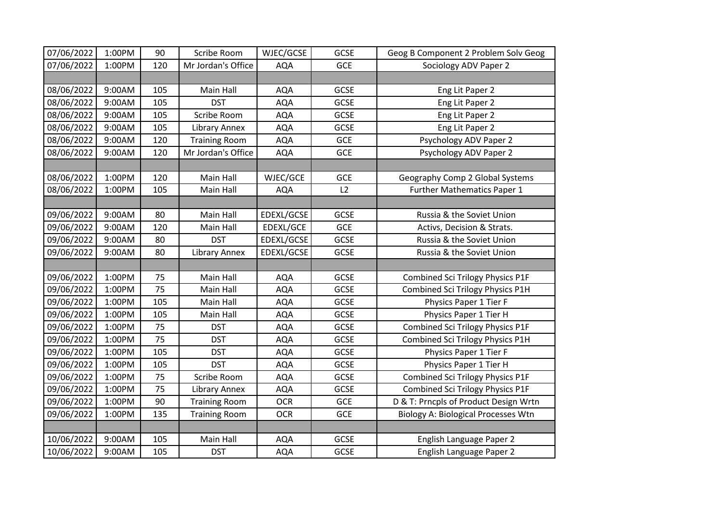| 07/06/2022 | 1:00PM | 90  | Scribe Room          | WJEC/GCSE  | GCSE        | Geog B Component 2 Problem Solv Geog       |
|------------|--------|-----|----------------------|------------|-------------|--------------------------------------------|
| 07/06/2022 | 1:00PM | 120 | Mr Jordan's Office   | <b>AQA</b> | GCE         | Sociology ADV Paper 2                      |
|            |        |     |                      |            |             |                                            |
| 08/06/2022 | 9:00AM | 105 | Main Hall            | <b>AQA</b> | <b>GCSE</b> | Eng Lit Paper 2                            |
| 08/06/2022 | 9:00AM | 105 | <b>DST</b>           | <b>AQA</b> | GCSE        | Eng Lit Paper 2                            |
| 08/06/2022 | 9:00AM | 105 | Scribe Room          | <b>AQA</b> | <b>GCSE</b> | Eng Lit Paper 2                            |
| 08/06/2022 | 9:00AM | 105 | Library Annex        | <b>AQA</b> | GCSE        | Eng Lit Paper 2                            |
| 08/06/2022 | 9:00AM | 120 | <b>Training Room</b> | <b>AQA</b> | <b>GCE</b>  | Psychology ADV Paper 2                     |
| 08/06/2022 | 9:00AM | 120 | Mr Jordan's Office   | <b>AQA</b> | <b>GCE</b>  | Psychology ADV Paper 2                     |
|            |        |     |                      |            |             |                                            |
| 08/06/2022 | 1:00PM | 120 | Main Hall            | WJEC/GCE   | GCE         | Geography Comp 2 Global Systems            |
| 08/06/2022 | 1:00PM | 105 | Main Hall            | <b>AQA</b> | L2          | <b>Further Mathematics Paper 1</b>         |
|            |        |     |                      |            |             |                                            |
| 09/06/2022 | 9:00AM | 80  | Main Hall            | EDEXL/GCSE | GCSE        | Russia & the Soviet Union                  |
| 09/06/2022 | 9:00AM | 120 | Main Hall            | EDEXL/GCE  | GCE         | Activs, Decision & Strats.                 |
| 09/06/2022 | 9:00AM | 80  | <b>DST</b>           | EDEXL/GCSE | GCSE        | Russia & the Soviet Union                  |
| 09/06/2022 | 9:00AM | 80  | Library Annex        | EDEXL/GCSE | GCSE        | Russia & the Soviet Union                  |
|            |        |     |                      |            |             |                                            |
| 09/06/2022 | 1:00PM | 75  | Main Hall            | <b>AQA</b> | GCSE        | <b>Combined Sci Trilogy Physics P1F</b>    |
| 09/06/2022 | 1:00PM | 75  | Main Hall            | <b>AQA</b> | GCSE        | Combined Sci Trilogy Physics P1H           |
| 09/06/2022 | 1:00PM | 105 | Main Hall            | <b>AQA</b> | GCSE        | Physics Paper 1 Tier F                     |
| 09/06/2022 | 1:00PM | 105 | Main Hall            | <b>AQA</b> | GCSE        | Physics Paper 1 Tier H                     |
| 09/06/2022 | 1:00PM | 75  | <b>DST</b>           | <b>AQA</b> | GCSE        | <b>Combined Sci Trilogy Physics P1F</b>    |
| 09/06/2022 | 1:00PM | 75  | <b>DST</b>           | <b>AQA</b> | GCSE        | Combined Sci Trilogy Physics P1H           |
| 09/06/2022 | 1:00PM | 105 | <b>DST</b>           | <b>AQA</b> | GCSE        | Physics Paper 1 Tier F                     |
| 09/06/2022 | 1:00PM | 105 | <b>DST</b>           | <b>AQA</b> | GCSE        | Physics Paper 1 Tier H                     |
| 09/06/2022 | 1:00PM | 75  | Scribe Room          | <b>AQA</b> | <b>GCSE</b> | <b>Combined Sci Trilogy Physics P1F</b>    |
| 09/06/2022 | 1:00PM | 75  | Library Annex        | <b>AQA</b> | <b>GCSE</b> | Combined Sci Trilogy Physics P1F           |
| 09/06/2022 | 1:00PM | 90  | <b>Training Room</b> | <b>OCR</b> | <b>GCE</b>  | D & T: Prncpls of Product Design Wrtn      |
| 09/06/2022 | 1:00PM | 135 | <b>Training Room</b> | <b>OCR</b> | <b>GCE</b>  | <b>Biology A: Biological Processes Wtn</b> |
|            |        |     |                      |            |             |                                            |
| 10/06/2022 | 9:00AM | 105 | Main Hall            | <b>AQA</b> | <b>GCSE</b> | English Language Paper 2                   |
| 10/06/2022 | 9:00AM | 105 | <b>DST</b>           | <b>AQA</b> | <b>GCSE</b> | English Language Paper 2                   |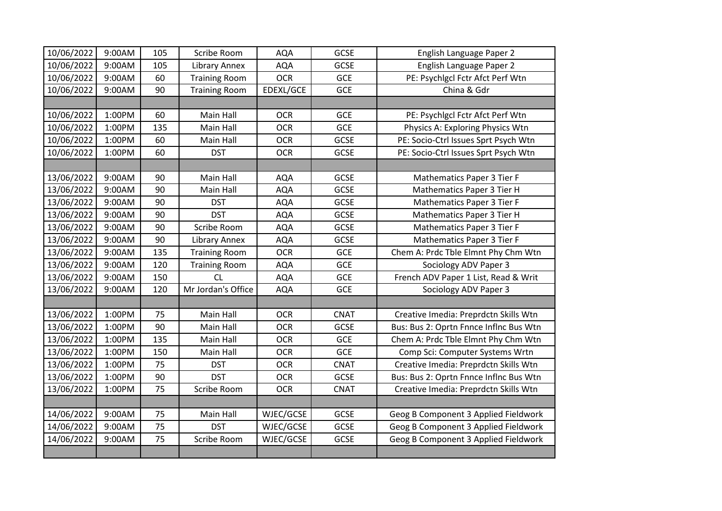| 10/06/2022 | 9:00AM | 105 | Scribe Room          | <b>AQA</b> | <b>GCSE</b> | English Language Paper 2               |
|------------|--------|-----|----------------------|------------|-------------|----------------------------------------|
| 10/06/2022 | 9:00AM | 105 | Library Annex        | <b>AQA</b> | GCSE        | English Language Paper 2               |
| 10/06/2022 | 9:00AM | 60  | <b>Training Room</b> | <b>OCR</b> | GCE         | PE: Psychlgcl Fctr Afct Perf Wtn       |
| 10/06/2022 | 9:00AM | 90  | <b>Training Room</b> | EDEXL/GCE  | <b>GCE</b>  | China & Gdr                            |
|            |        |     |                      |            |             |                                        |
| 10/06/2022 | 1:00PM | 60  | Main Hall            | <b>OCR</b> | GCE         | PE: Psychlgcl Fctr Afct Perf Wtn       |
| 10/06/2022 | 1:00PM | 135 | Main Hall            | <b>OCR</b> | <b>GCE</b>  | Physics A: Exploring Physics Wtn       |
| 10/06/2022 | 1:00PM | 60  | Main Hall            | <b>OCR</b> | <b>GCSE</b> | PE: Socio-Ctrl Issues Sprt Psych Wtn   |
| 10/06/2022 | 1:00PM | 60  | <b>DST</b>           | <b>OCR</b> | GCSE        | PE: Socio-Ctrl Issues Sprt Psych Wtn   |
|            |        |     |                      |            |             |                                        |
| 13/06/2022 | 9:00AM | 90  | Main Hall            | <b>AQA</b> | GCSE        | Mathematics Paper 3 Tier F             |
| 13/06/2022 | 9:00AM | 90  | Main Hall            | <b>AQA</b> | GCSE        | Mathematics Paper 3 Tier H             |
| 13/06/2022 | 9:00AM | 90  | <b>DST</b>           | <b>AQA</b> | GCSE        | Mathematics Paper 3 Tier F             |
| 13/06/2022 | 9:00AM | 90  | <b>DST</b>           | <b>AQA</b> | GCSE        | Mathematics Paper 3 Tier H             |
| 13/06/2022 | 9:00AM | 90  | Scribe Room          | <b>AQA</b> | GCSE        | <b>Mathematics Paper 3 Tier F</b>      |
| 13/06/2022 | 9:00AM | 90  | Library Annex        | <b>AQA</b> | GCSE        | Mathematics Paper 3 Tier F             |
| 13/06/2022 | 9:00AM | 135 | <b>Training Room</b> | <b>OCR</b> | GCE         | Chem A: Prdc Tble Elmnt Phy Chm Wtn    |
| 13/06/2022 | 9:00AM | 120 | <b>Training Room</b> | <b>AQA</b> | <b>GCE</b>  | Sociology ADV Paper 3                  |
| 13/06/2022 | 9:00AM | 150 | CL                   | <b>AQA</b> | <b>GCE</b>  | French ADV Paper 1 List, Read & Writ   |
| 13/06/2022 | 9:00AM | 120 | Mr Jordan's Office   | <b>AQA</b> | <b>GCE</b>  | Sociology ADV Paper 3                  |
|            |        |     |                      |            |             |                                        |
| 13/06/2022 | 1:00PM | 75  | Main Hall            | <b>OCR</b> | <b>CNAT</b> | Creative Imedia: Preprdctn Skills Wtn  |
| 13/06/2022 | 1:00PM | 90  | Main Hall            | <b>OCR</b> | GCSE        | Bus: Bus 2: Oprtn Fnnce Inflnc Bus Wtn |
| 13/06/2022 | 1:00PM | 135 | Main Hall            | <b>OCR</b> | <b>GCE</b>  | Chem A: Prdc Tble Elmnt Phy Chm Wtn    |
| 13/06/2022 | 1:00PM | 150 | Main Hall            | <b>OCR</b> | <b>GCE</b>  | Comp Sci: Computer Systems Wrtn        |
| 13/06/2022 | 1:00PM | 75  | <b>DST</b>           | <b>OCR</b> | <b>CNAT</b> | Creative Imedia: Preprdctn Skills Wtn  |
| 13/06/2022 | 1:00PM | 90  | <b>DST</b>           | <b>OCR</b> | GCSE        | Bus: Bus 2: Oprtn Fnnce Inflnc Bus Wtn |
| 13/06/2022 | 1:00PM | 75  | Scribe Room          | <b>OCR</b> | <b>CNAT</b> | Creative Imedia: Preprdctn Skills Wtn  |
|            |        |     |                      |            |             |                                        |
| 14/06/2022 | 9:00AM | 75  | Main Hall            | WJEC/GCSE  | GCSE        | Geog B Component 3 Applied Fieldwork   |
| 14/06/2022 | 9:00AM | 75  | <b>DST</b>           | WJEC/GCSE  | GCSE        | Geog B Component 3 Applied Fieldwork   |
| 14/06/2022 | 9:00AM | 75  | Scribe Room          | WJEC/GCSE  | GCSE        | Geog B Component 3 Applied Fieldwork   |
|            |        |     |                      |            |             |                                        |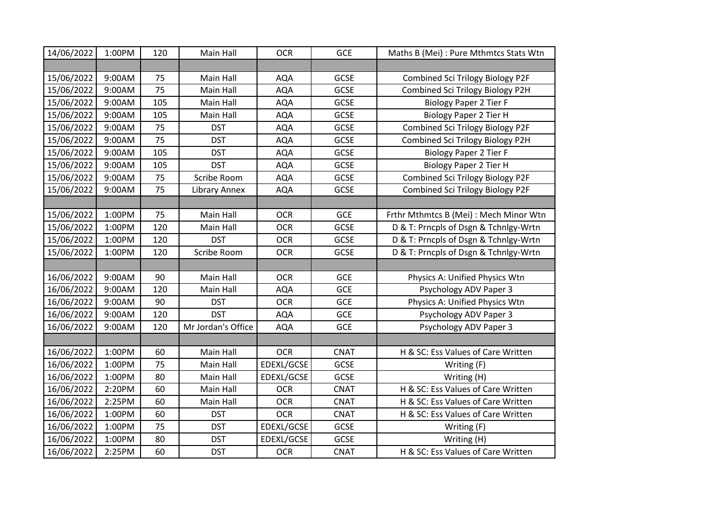| 14/06/2022 | 1:00PM | 120 | Main Hall          | <b>OCR</b> | <b>GCE</b>  | Maths B (Mei) : Pure Mthmtcs Stats Wtn  |
|------------|--------|-----|--------------------|------------|-------------|-----------------------------------------|
|            |        |     |                    |            |             |                                         |
| 15/06/2022 | 9:00AM | 75  | Main Hall          | <b>AQA</b> | GCSE        | Combined Sci Trilogy Biology P2F        |
| 15/06/2022 | 9:00AM | 75  | Main Hall          | <b>AQA</b> | <b>GCSE</b> | Combined Sci Trilogy Biology P2H        |
| 15/06/2022 | 9:00AM | 105 | Main Hall          | <b>AQA</b> | GCSE        | <b>Biology Paper 2 Tier F</b>           |
| 15/06/2022 | 9:00AM | 105 | Main Hall          | <b>AQA</b> | <b>GCSE</b> | <b>Biology Paper 2 Tier H</b>           |
| 15/06/2022 | 9:00AM | 75  | <b>DST</b>         | <b>AQA</b> | GCSE        | Combined Sci Trilogy Biology P2F        |
| 15/06/2022 | 9:00AM | 75  | <b>DST</b>         | <b>AQA</b> | GCSE        | Combined Sci Trilogy Biology P2H        |
| 15/06/2022 | 9:00AM | 105 | <b>DST</b>         | <b>AQA</b> | <b>GCSE</b> | <b>Biology Paper 2 Tier F</b>           |
| 15/06/2022 | 9:00AM | 105 | <b>DST</b>         | <b>AQA</b> | <b>GCSE</b> | <b>Biology Paper 2 Tier H</b>           |
| 15/06/2022 | 9:00AM | 75  | Scribe Room        | <b>AQA</b> | GCSE        | <b>Combined Sci Trilogy Biology P2F</b> |
| 15/06/2022 | 9:00AM | 75  | Library Annex      | <b>AQA</b> | GCSE        | Combined Sci Trilogy Biology P2F        |
|            |        |     |                    |            |             |                                         |
| 15/06/2022 | 1:00PM | 75  | Main Hall          | <b>OCR</b> | GCE         | Frthr Mthmtcs B (Mei) : Mech Minor Wtn  |
| 15/06/2022 | 1:00PM | 120 | Main Hall          | <b>OCR</b> | <b>GCSE</b> | D & T: Prncpls of Dsgn & Tchnlgy-Wrtn   |
| 15/06/2022 | 1:00PM | 120 | <b>DST</b>         | <b>OCR</b> | <b>GCSE</b> | D & T: Prncpls of Dsgn & Tchnlgy-Wrtn   |
| 15/06/2022 | 1:00PM | 120 | Scribe Room        | <b>OCR</b> | <b>GCSE</b> | D & T: Prncpls of Dsgn & Tchnlgy-Wrtn   |
|            |        |     |                    |            |             |                                         |
| 16/06/2022 | 9:00AM | 90  | Main Hall          | <b>OCR</b> | GCE         | Physics A: Unified Physics Wtn          |
| 16/06/2022 | 9:00AM | 120 | Main Hall          | <b>AQA</b> | GCE         | Psychology ADV Paper 3                  |
| 16/06/2022 | 9:00AM | 90  | <b>DST</b>         | <b>OCR</b> | <b>GCE</b>  | Physics A: Unified Physics Wtn          |
| 16/06/2022 | 9:00AM | 120 | <b>DST</b>         | <b>AQA</b> | GCE         | Psychology ADV Paper 3                  |
| 16/06/2022 | 9:00AM | 120 | Mr Jordan's Office | <b>AQA</b> | <b>GCE</b>  | Psychology ADV Paper 3                  |
|            |        |     |                    |            |             |                                         |
| 16/06/2022 | 1:00PM | 60  | Main Hall          | <b>OCR</b> | <b>CNAT</b> | H & SC: Ess Values of Care Written      |
| 16/06/2022 | 1:00PM | 75  | Main Hall          | EDEXL/GCSE | <b>GCSE</b> | Writing (F)                             |
| 16/06/2022 | 1:00PM | 80  | Main Hall          | EDEXL/GCSE | GCSE        | Writing (H)                             |
| 16/06/2022 | 2:20PM | 60  | Main Hall          | <b>OCR</b> | <b>CNAT</b> | H & SC: Ess Values of Care Written      |
| 16/06/2022 | 2:25PM | 60  | Main Hall          | <b>OCR</b> | <b>CNAT</b> | H & SC: Ess Values of Care Written      |
| 16/06/2022 | 1:00PM | 60  | <b>DST</b>         | <b>OCR</b> | <b>CNAT</b> | H & SC: Ess Values of Care Written      |
| 16/06/2022 | 1:00PM | 75  | <b>DST</b>         | EDEXL/GCSE | GCSE        | Writing (F)                             |
| 16/06/2022 | 1:00PM | 80  | <b>DST</b>         | EDEXL/GCSE | GCSE        | Writing (H)                             |
| 16/06/2022 | 2:25PM | 60  | <b>DST</b>         | <b>OCR</b> | <b>CNAT</b> | H & SC: Ess Values of Care Written      |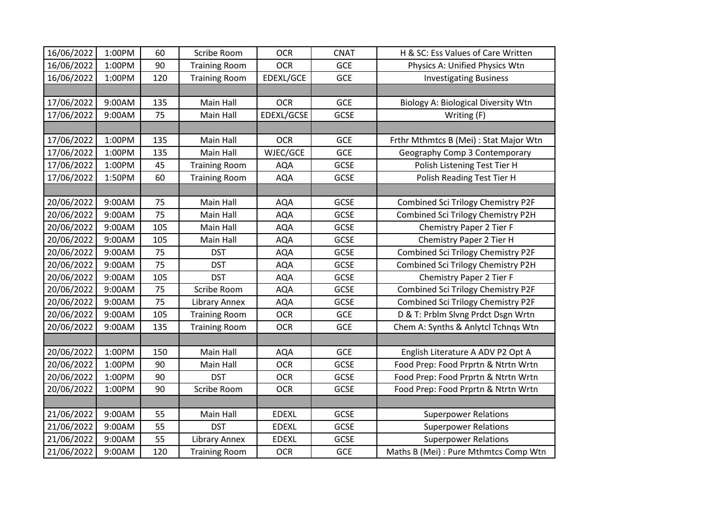| 16/06/2022 | 1:00PM | 60  | Scribe Room          | <b>OCR</b>   | <b>CNAT</b> | H & SC: Ess Values of Care Written         |
|------------|--------|-----|----------------------|--------------|-------------|--------------------------------------------|
| 16/06/2022 | 1:00PM | 90  | <b>Training Room</b> | <b>OCR</b>   | GCE         | Physics A: Unified Physics Wtn             |
| 16/06/2022 | 1:00PM | 120 | <b>Training Room</b> | EDEXL/GCE    | GCE         | <b>Investigating Business</b>              |
|            |        |     |                      |              |             |                                            |
| 17/06/2022 | 9:00AM | 135 | Main Hall            | <b>OCR</b>   | GCE         | <b>Biology A: Biological Diversity Wtn</b> |
| 17/06/2022 | 9:00AM | 75  | Main Hall            | EDEXL/GCSE   | GCSE        | Writing (F)                                |
|            |        |     |                      |              |             |                                            |
| 17/06/2022 | 1:00PM | 135 | Main Hall            | <b>OCR</b>   | GCE         | Frthr Mthmtcs B (Mei) : Stat Major Wtn     |
| 17/06/2022 | 1:00PM | 135 | Main Hall            | WJEC/GCE     | GCE         | Geography Comp 3 Contemporary              |
| 17/06/2022 | 1:00PM | 45  | <b>Training Room</b> | <b>AQA</b>   | GCSE        | Polish Listening Test Tier H               |
| 17/06/2022 | 1:50PM | 60  | <b>Training Room</b> | <b>AQA</b>   | GCSE        | Polish Reading Test Tier H                 |
|            |        |     |                      |              |             |                                            |
| 20/06/2022 | 9:00AM | 75  | Main Hall            | <b>AQA</b>   | GCSE        | Combined Sci Trilogy Chemistry P2F         |
| 20/06/2022 | 9:00AM | 75  | Main Hall            | <b>AQA</b>   | GCSE        | Combined Sci Trilogy Chemistry P2H         |
| 20/06/2022 | 9:00AM | 105 | Main Hall            | <b>AQA</b>   | <b>GCSE</b> | Chemistry Paper 2 Tier F                   |
| 20/06/2022 | 9:00AM | 105 | Main Hall            | <b>AQA</b>   | GCSE        | Chemistry Paper 2 Tier H                   |
| 20/06/2022 | 9:00AM | 75  | <b>DST</b>           | <b>AQA</b>   | <b>GCSE</b> | Combined Sci Trilogy Chemistry P2F         |
| 20/06/2022 | 9:00AM | 75  | <b>DST</b>           | <b>AQA</b>   | GCSE        | Combined Sci Trilogy Chemistry P2H         |
| 20/06/2022 | 9:00AM | 105 | <b>DST</b>           | <b>AQA</b>   | <b>GCSE</b> | Chemistry Paper 2 Tier F                   |
| 20/06/2022 | 9:00AM | 75  | Scribe Room          | <b>AQA</b>   | GCSE        | Combined Sci Trilogy Chemistry P2F         |
| 20/06/2022 | 9:00AM | 75  | Library Annex        | <b>AQA</b>   | GCSE        | Combined Sci Trilogy Chemistry P2F         |
| 20/06/2022 | 9:00AM | 105 | <b>Training Room</b> | <b>OCR</b>   | <b>GCE</b>  | D & T: Prblm Slvng Prdct Dsgn Wrtn         |
| 20/06/2022 | 9:00AM | 135 | <b>Training Room</b> | <b>OCR</b>   | <b>GCE</b>  | Chem A: Synths & Anlytcl Tchnqs Wtn        |
|            |        |     |                      |              |             |                                            |
| 20/06/2022 | 1:00PM | 150 | Main Hall            | <b>AQA</b>   | <b>GCE</b>  | English Literature A ADV P2 Opt A          |
| 20/06/2022 | 1:00PM | 90  | Main Hall            | <b>OCR</b>   | <b>GCSE</b> | Food Prep: Food Prprtn & Ntrtn Wrtn        |
| 20/06/2022 | 1:00PM | 90  | <b>DST</b>           | <b>OCR</b>   | GCSE        | Food Prep: Food Prprtn & Ntrtn Wrtn        |
| 20/06/2022 | 1:00PM | 90  | Scribe Room          | <b>OCR</b>   | GCSE        | Food Prep: Food Prprtn & Ntrtn Wrtn        |
|            |        |     |                      |              |             |                                            |
| 21/06/2022 | 9:00AM | 55  | Main Hall            | <b>EDEXL</b> | GCSE        | <b>Superpower Relations</b>                |
| 21/06/2022 | 9:00AM | 55  | <b>DST</b>           | <b>EDEXL</b> | GCSE        | <b>Superpower Relations</b>                |
| 21/06/2022 | 9:00AM | 55  | Library Annex        | <b>EDEXL</b> | GCSE        | <b>Superpower Relations</b>                |
| 21/06/2022 | 9:00AM | 120 | <b>Training Room</b> | <b>OCR</b>   | GCE         | Maths B (Mei) : Pure Mthmtcs Comp Wtn      |